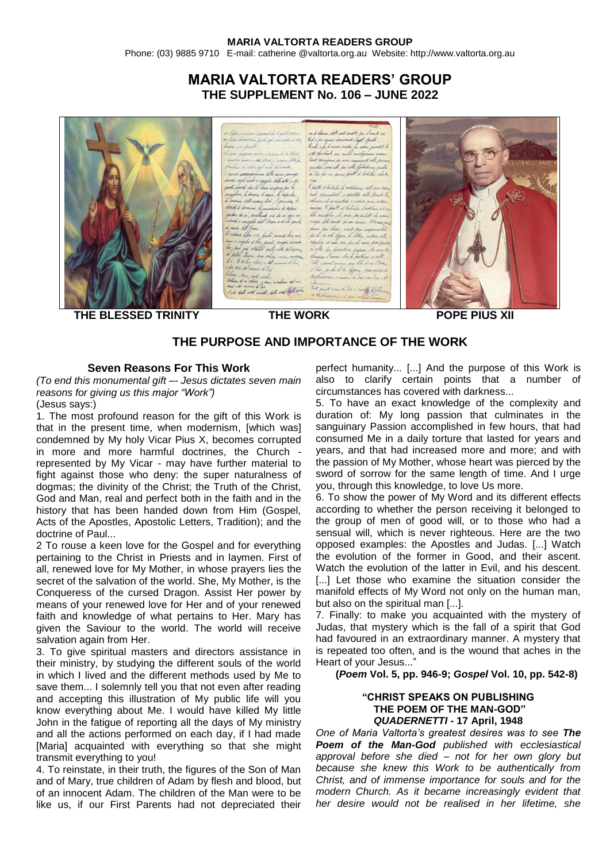Phone: (03) 9885 9710 E-mail: catherine @valtorta.org.au Website: http://www.valtorta.org.au

# **MARIA VALTORTA READERS' GROUP THE SUPPLEMENT No. 106 – JUNE 2022**



**THE BLESSED TRINITY THE WORK POPE PIUS XII**

## **THE PURPOSE AND IMPORTANCE OF THE WORK**

## **Seven Reasons For This Work**

*(To end this monumental gift –- Jesus dictates seven main reasons for giving us this major "Work")* 

(Jesus says:)

1. The most profound reason for the gift of this Work is that in the present time, when modernism, [which was] condemned by My holy Vicar Pius X, becomes corrupted in more and more harmful doctrines, the Church represented by My Vicar - may have further material to fight against those who deny: the super naturalness of dogmas; the divinity of the Christ; the Truth of the Christ, God and Man, real and perfect both in the faith and in the history that has been handed down from Him (Gospel, Acts of the Apostles, Apostolic Letters, Tradition); and the doctrine of Paul...

2 To rouse a keen love for the Gospel and for everything pertaining to the Christ in Priests and in laymen. First of all, renewed love for My Mother, in whose prayers lies the secret of the salvation of the world. She, My Mother, is the Conqueress of the cursed Dragon. Assist Her power by means of your renewed love for Her and of your renewed faith and knowledge of what pertains to Her. Mary has given the Saviour to the world. The world will receive salvation again from Her.

3. To give spiritual masters and directors assistance in their ministry, by studying the different souls of the world in which I lived and the different methods used by Me to save them... I solemnly tell you that not even after reading and accepting this illustration of My public life will you know everything about Me. I would have killed My little John in the fatigue of reporting all the days of My ministry and all the actions performed on each day, if I had made [Maria] acquainted with everything so that she might transmit everything to you!

4. To reinstate, in their truth, the figures of the Son of Man and of Mary, true children of Adam by flesh and blood, but of an innocent Adam. The children of the Man were to be like us, if our First Parents had not depreciated their

perfect humanity... [...] And the purpose of this Work is also to clarify certain points that a number of circumstances has covered with darkness...

5. To have an exact knowledge of the complexity and duration of: My long passion that culminates in the sanguinary Passion accomplished in few hours, that had consumed Me in a daily torture that lasted for years and years, and that had increased more and more; and with the passion of My Mother, whose heart was pierced by the sword of sorrow for the same length of time. And I urge you, through this knowledge, to love Us more.

6. To show the power of My Word and its different effects according to whether the person receiving it belonged to the group of men of good will, or to those who had a sensual will, which is never righteous. Here are the two opposed examples: the Apostles and Judas. [...] Watch the evolution of the former in Good, and their ascent. Watch the evolution of the latter in Evil, and his descent. [...] Let those who examine the situation consider the manifold effects of My Word not only on the human man, but also on the spiritual man [...].

7. Finally: to make you acquainted with the mystery of Judas, that mystery which is the fall of a spirit that God had favoured in an extraordinary manner. A mystery that is repeated too often, and is the wound that aches in the Heart of your Jesus..."

**(***Poem* **Vol. 5, pp. 946-9;** *Gospel* **Vol. 10, pp. 542-8)**

## **"CHRIST SPEAKS ON PUBLISHING THE POEM OF THE MAN-GOD"** *QUADERNETTI* **- 17 April, 1948**

*One of Maria Valtorta's greatest desires was to see The Poem of the Man-God published with ecclesiastical approval before she died – not for her own glory but because she knew this Work to be authentically from Christ, and of immense importance for souls and for the modern Church. As it became increasingly evident that her desire would not be realised in her lifetime, she*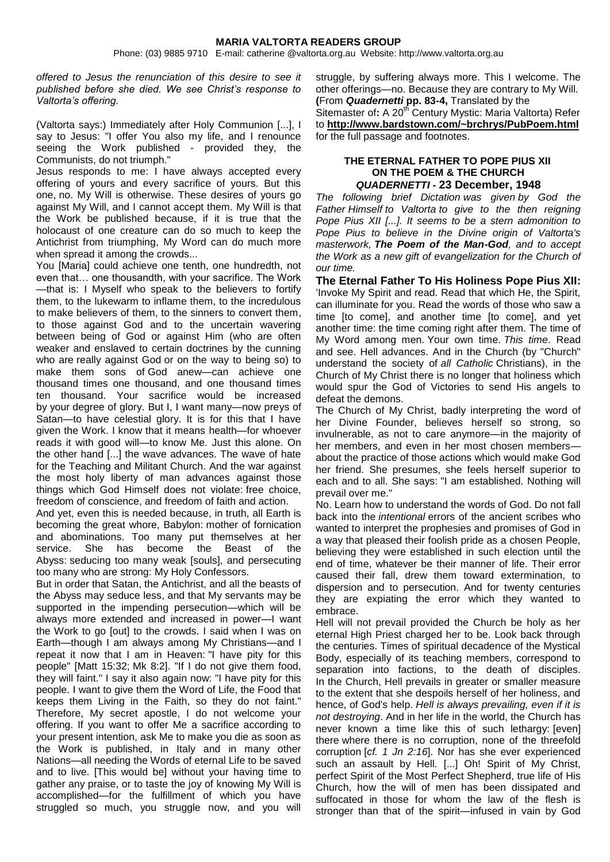Phone: (03) 9885 9710 E-mail: catherine @valtorta.org.au Website: http://www.valtorta.org.au

*offered to Jesus the renunciation of this desire to see it published before she died. We see Christ's response to Valtorta's offering.*

(Valtorta says:) Immediately after Holy Communion [...], I say to Jesus: "I offer You also my life, and I renounce seeing the Work published - provided they, the Communists, do not triumph."

Jesus responds to me: I have always accepted every offering of yours and every sacrifice of yours. But this one, no. My Will is otherwise. These desires of yours go against My Will, and I cannot accept them. My Will is that the Work be published because, if it is true that the holocaust of one creature can do so much to keep the Antichrist from triumphing, My Word can do much more when spread it among the crowds...

You [Maria] could achieve one tenth, one hundredth, not even that… one thousandth, with your sacrifice. The Work —that is: I Myself who speak to the believers to fortify them, to the lukewarm to inflame them, to the incredulous to make believers of them, to the sinners to convert them, to those against God and to the uncertain wavering between being of God or against Him (who are often weaker and enslaved to certain doctrines by the cunning who are really against God or on the way to being so) to make them sons of God anew—can achieve one thousand times one thousand, and one thousand times ten thousand. Your sacrifice would be increased by your degree of glory. But I, I want many—now preys of Satan—to have celestial glory. It is for this that I have given the Work. I know that it means health—for whoever reads it with good will—to know Me. Just this alone. On the other hand [...] the wave advances. The wave of hate for the Teaching and Militant Church. And the war against the most holy liberty of man advances against those things which God Himself does not violate: free choice, freedom of conscience, and freedom of faith and action.

And yet, even this is needed because, in truth, all Earth is becoming the great whore, Babylon: mother of fornication and abominations. Too many put themselves at her service. She has become the Beast of the Abyss: seducing too many weak [souls], and persecuting too many who are strong: My Holy Confessors.

But in order that Satan, the Antichrist, and all the beasts of the Abyss may seduce less, and that My servants may be supported in the impending persecution—which will be always more extended and increased in power—I want the Work to go [out] to the crowds. I said when I was on Earth—though I am always among My Christians—and I repeat it now that I am in Heaven: "I have pity for this people" [Matt 15:32; Mk 8:2]. "If I do not give them food, they will faint." I say it also again now: "I have pity for this people. I want to give them the Word of Life, the Food that keeps them Living in the Faith, so they do not faint." Therefore, My secret apostle, I do not welcome your offering. If you want to offer Me a sacrifice according to your present intention, ask Me to make you die as soon as the Work is published, in Italy and in many other Nations—all needing the Words of eternal Life to be saved and to live. [This would be] without your having time to gather any praise, or to taste the joy of knowing My Will is accomplished—for the fulfillment of which you have struggled so much, you struggle now, and you will

struggle, by suffering always more. This I welcome. The other offerings—no. Because they are contrary to My Will. **(**From *Quadernetti* **pp. 83-4,** Translated by the Sitemaster of: A 20<sup>th</sup> Century Mystic: Maria Valtorta) Refer to **<http://www.bardstown.com/~brchrys/PubPoem.html>** for the full passage and footnotes.

#### **THE ETERNAL FATHER TO POPE PIUS XII ON THE POEM & THE CHURCH** *QUADERNETTI* **- 23 December, 1948**

*The following brief Dictation was given by God the Father Himself to Valtorta to give to the then reigning Pope Pius XII [...]. It seems to be a stern admonition to Pope Pius to believe in the Divine origin of Valtorta's masterwork, The Poem of the Man-God, and to accept the Work as a new gift of evangelization for the Church of our time.*

**The Eternal Father To His Holiness Pope Pius XII:** 'Invoke My Spirit and read. Read that which He, the Spirit, can illuminate for you. Read the words of those who saw a time [to come], and another time [to come], and yet another time: the time coming right after them. The time of My Word among men. Your own time. *This time*. Read and see. Hell advances. And in the Church (by "Church" understand the society of *all Catholic* Christians), in the Church of My Christ there is no longer that holiness which would spur the God of Victories to send His angels to defeat the demons.

The Church of My Christ, badly interpreting the word of her Divine Founder, believes herself so strong, so invulnerable, as not to care anymore—in the majority of her members, and even in her most chosen membersabout the practice of those actions which would make God her friend. She presumes, she feels herself superior to each and to all. She says: "I am established. Nothing will prevail over me."

No. Learn how to understand the words of God. Do not fall back into the *intentional* errors of the ancient scribes who wanted to interpret the prophesies and promises of God in a way that pleased their foolish pride as a chosen People, believing they were established in such election until the end of time, whatever be their manner of life. Their error caused their fall, drew them toward extermination, to dispersion and to persecution. And for twenty centuries they are expiating the error which they wanted to embrace.

Hell will not prevail provided the Church be holy as her eternal High Priest charged her to be. Look back through the centuries. Times of spiritual decadence of the Mystical Body, especially of its teaching members, correspond to separation into factions, to the death of disciples. In the Church, Hell prevails in greater or smaller measure to the extent that she despoils herself of her holiness, and hence, of God's help. *Hell is always prevailing, even if it is not destroying*. And in her life in the world, the Church has never known a time like this of such lethargy: [even] there where there is no corruption, none of the threefold corruption [*cf. 1 Jn 2:16*]. Nor has she ever experienced such an assault by Hell. [...] Oh! Spirit of My Christ, perfect Spirit of the Most Perfect Shepherd, true life of His Church, how the will of men has been dissipated and suffocated in those for whom the law of the flesh is stronger than that of the spirit—infused in vain by God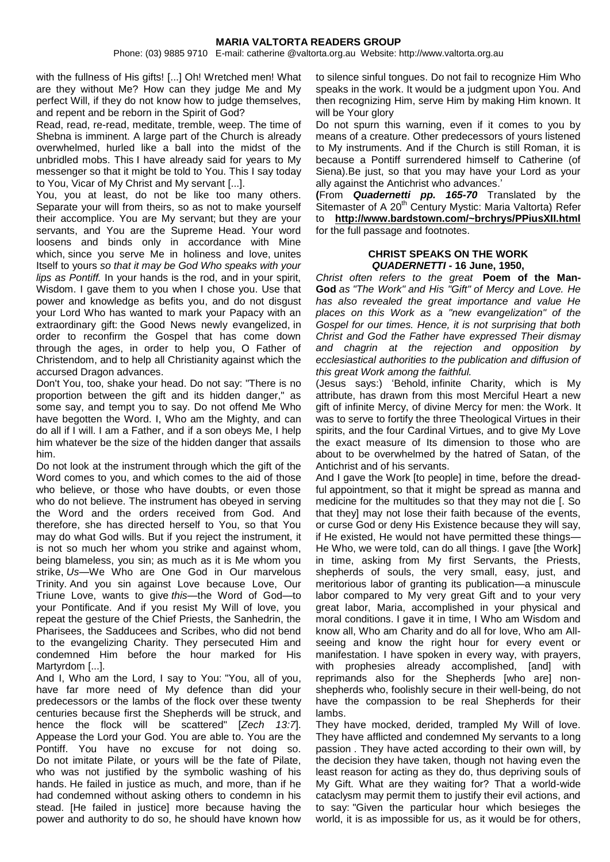Phone: (03) 9885 9710 E-mail: catherine @valtorta.org.au Website: http://www.valtorta.org.au

with the fullness of His gifts! [...] Oh! Wretched men! What are they without Me? How can they judge Me and My perfect Will, if they do not know how to judge themselves, and repent and be reborn in the Spirit of God?

Read, read, re-read, meditate, tremble, weep. The time of Shebna is imminent. A large part of the Church is already overwhelmed, hurled like a ball into the midst of the unbridled mobs. This I have already said for years to My messenger so that it might be told to You. This I say today to You, Vicar of My Christ and My servant [...].

You, you at least, do not be like too many others. Separate your will from theirs, so as not to make yourself their accomplice. You are My servant; but they are your servants, and You are the Supreme Head. Your word loosens and binds only in accordance with Mine which, since you serve Me in holiness and love, unites Itself to yours *so that it may be God Who speaks with your lips as Pontiff.* In your hands is the rod, and in your spirit, Wisdom. I gave them to you when I chose you. Use that power and knowledge as befits you, and do not disgust your Lord Who has wanted to mark your Papacy with an extraordinary gift: the Good News newly evangelized, in order to reconfirm the Gospel that has come down through the ages, in order to help you, O Father of Christendom, and to help all Christianity against which the accursed Dragon advances.

Don't You, too, shake your head. Do not say: "There is no proportion between the gift and its hidden danger," as some say, and tempt you to say. Do not offend Me Who have begotten the Word. I, Who am the Mighty, and can do all if I will. I am a Father, and if a son obeys Me, I help him whatever be the size of the hidden danger that assails him.

Do not look at the instrument through which the gift of the Word comes to you, and which comes to the aid of those who believe, or those who have doubts, or even those who do not believe. The instrument has obeyed in serving the Word and the orders received from God. And therefore, she has directed herself to You, so that You may do what God wills. But if you reject the instrument, it is not so much her whom you strike and against whom, being blameless, you sin; as much as it is Me whom you strike, *Us*—We Who are One God in Our marvelous Trinity. And you sin against Love because Love, Our Triune Love, wants to give *this—*the Word of God—to your Pontificate. And if you resist My Will of love, you repeat the gesture of the Chief Priests, the Sanhedrin, the Pharisees, the Sadducees and Scribes, who did not bend to the evangelizing Charity. They persecuted Him and condemned Him before the hour marked for His Martyrdom [...].

And I, Who am the Lord, I say to You: "You, all of you, have far more need of My defence than did your predecessors or the lambs of the flock over these twenty centuries because first the Shepherds will be struck, and hence the flock will be scattered" [*Zech 13:7*]. Appease the Lord your God. You are able to. You are the Pontiff. You have no excuse for not doing so. Do not imitate Pilate, or yours will be the fate of Pilate, who was not justified by the symbolic washing of his hands. He failed in justice as much, and more, than if he had condemned without asking others to condemn in his stead. [He failed in justice] more because having the power and authority to do so, he should have known how

to silence sinful tongues. Do not fail to recognize Him Who speaks in the work. It would be a judgment upon You. And then recognizing Him, serve Him by making Him known. It will be Your glory

Do not spurn this warning, even if it comes to you by means of a creature. Other predecessors of yours listened to My instruments. And if the Church is still Roman, it is because a Pontiff surrendered himself to Catherine (of Siena).Be just, so that you may have your Lord as your ally against the Antichrist who advances.'

**(**From *Quadernetti pp. 165-70* Translated by the Sitemaster of A 20<sup>th</sup> Century Mystic: Maria Valtorta) Refer to **<http://www.bardstown.com/~brchrys/PPiusXII.html>** for the full passage and footnotes.

#### **CHRIST SPEAKS ON THE WORK** *QUADERNETTI* **- 16 June, 1950,**

*Christ often refers to the great* **Poem of the Man-God** *as "The Work" and His "Gift" of Mercy and Love. He has also revealed the great importance and value He places on this Work as a "new evangelization" of the Gospel for our times. Hence, it is not surprising that both Christ and God the Father have expressed Their dismay and chagrin at the rejection and opposition by ecclesiastical authorities to the publication and diffusion of this great Work among the faithful.* 

(Jesus says:) 'Behold, infinite Charity, which is My attribute, has drawn from this most Merciful Heart a new gift of infinite Mercy, of divine Mercy for men: the Work. It was to serve to fortify the three Theological Virtues in their spirits, and the four Cardinal Virtues, and to give My Love the exact measure of Its dimension to those who are about to be overwhelmed by the hatred of Satan, of the Antichrist and of his servants.

And I gave the Work [to people] in time, before the dreadful appointment, so that it might be spread as manna and medicine for the multitudes so that they may not die [. So that they] may not lose their faith because of the events, or curse God or deny His Existence because they will say, if He existed, He would not have permitted these things— He Who, we were told, can do all things. I gave [the Work] in time, asking from My first Servants, the Priests, shepherds of souls, the very small, easy, just, and meritorious labor of granting its publication—a minuscule labor compared to My very great Gift and to your very great labor, Maria, accomplished in your physical and moral conditions. I gave it in time, I Who am Wisdom and know all, Who am Charity and do all for love, Who am Allseeing and know the right hour for every event or manifestation. I have spoken in every way, with prayers, with prophesies already accomplished, [and] with reprimands also for the Shepherds [who are] nonshepherds who, foolishly secure in their well-being, do not have the compassion to be real Shepherds for their lambs.

They have mocked, derided, trampled My Will of love. They have afflicted and condemned My servants to a long passion . They have acted according to their own will, by the decision they have taken, though not having even the least reason for acting as they do, thus depriving souls of My Gift. What are they waiting for? That a world-wide cataclysm may permit them to justify their evil actions, and to say: "Given the particular hour which besieges the world, it is as impossible for us, as it would be for others,